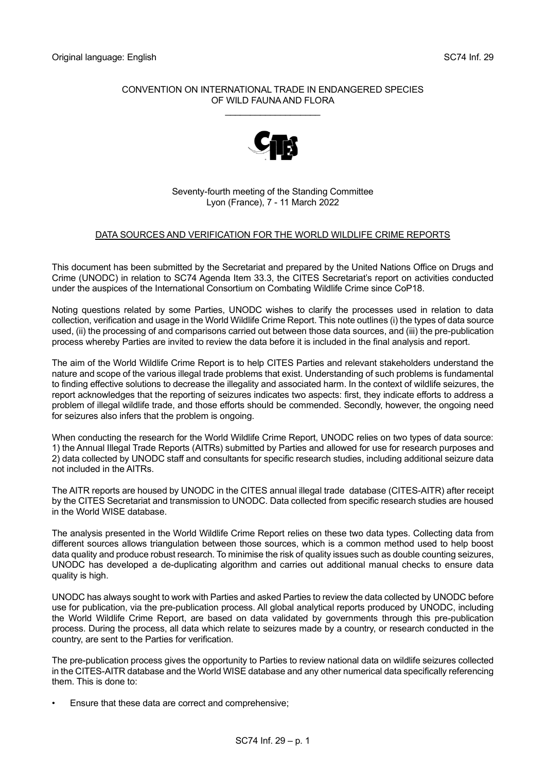## CONVENTION ON INTERNATIONAL TRADE IN ENDANGERED SPECIES OF WILD FAUNA AND FLORA

\_\_\_\_\_\_\_\_\_\_\_\_\_\_\_\_\_\_\_



Seventy-fourth meeting of the Standing Committee Lyon (France), 7 - 11 March 2022

## DATA SOURCES AND VERIFICATION FOR THE WORLD WILDLIFE CRIME REPORTS

This document has been submitted by the Secretariat and prepared by the United Nations Office on Drugs and Crime (UNODC) in relation to SC74 Agenda Item 33.3, the CITES Secretariat's report on activities conducted under the auspices of the International Consortium on Combating Wildlife Crime since CoP18.

Noting questions related by some Parties, UNODC wishes to clarify the processes used in relation to data collection, verification and usage in the World Wildlife Crime Report. This note outlines (i) the types of data source used, (ii) the processing of and comparisons carried out between those data sources, and (iii) the pre-publication process whereby Parties are invited to review the data before it is included in the final analysis and report.

The aim of the World Wildlife Crime Report is to help CITES Parties and relevant stakeholders understand the nature and scope of the various illegal trade problems that exist. Understanding of such problems is fundamental to finding effective solutions to decrease the illegality and associated harm. In the context of wildlife seizures, the report acknowledges that the reporting of seizures indicates two aspects: first, they indicate efforts to address a problem of illegal wildlife trade, and those efforts should be commended. Secondly, however, the ongoing need for seizures also infers that the problem is ongoing.

When conducting the research for the World Wildlife Crime Report, UNODC relies on two types of data source: 1) the Annual Illegal Trade Reports (AITRs) submitted by Parties and allowed for use for research purposes and 2) data collected by UNODC staff and consultants for specific research studies, including additional seizure data not included in the AITRs.

The AITR reports are housed by UNODC in the CITES annual illegal trade database (CITES-AITR) after receipt by the CITES Secretariat and transmission to UNODC. Data collected from specific research studies are housed in the World WISE database.

The analysis presented in the World Wildlife Crime Report relies on these two data types. Collecting data from different sources allows triangulation between those sources, which is a common method used to help boost data quality and produce robust research. To minimise the risk of quality issues such as double counting seizures, UNODC has developed a de-duplicating algorithm and carries out additional manual checks to ensure data quality is high.

UNODC has always sought to work with Parties and asked Parties to review the data collected by UNODC before use for publication, via the pre-publication process. All global analytical reports produced by UNODC, including the World Wildlife Crime Report, are based on data validated by governments through this pre-publication process. During the process, all data which relate to seizures made by a country, or research conducted in the country, are sent to the Parties for verification.

The pre-publication process gives the opportunity to Parties to review national data on wildlife seizures collected in the CITES-AITR database and the World WISE database and any other numerical data specifically referencing them. This is done to:

• Ensure that these data are correct and comprehensive;